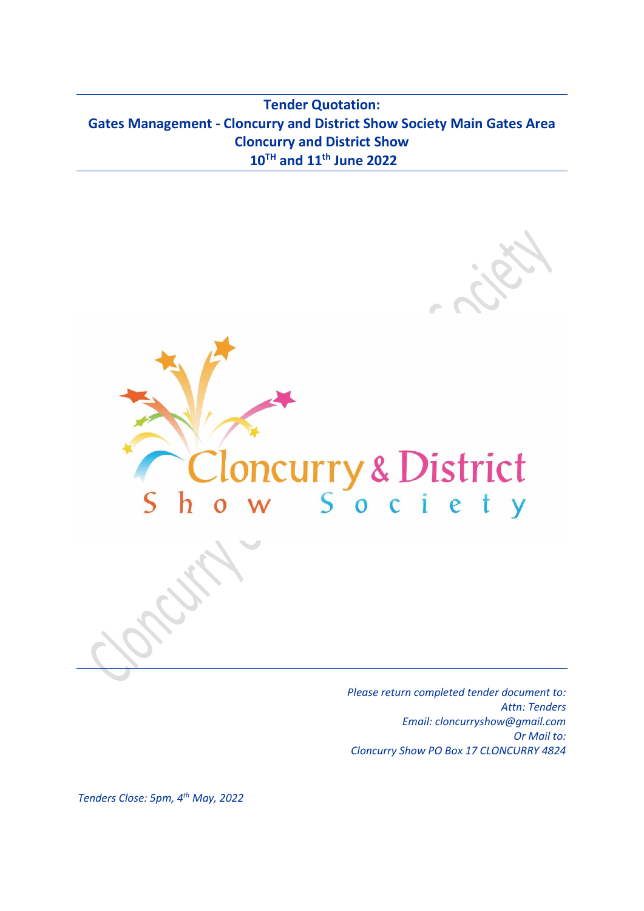**Tender Quotation: Gates Management - Cloncurry and District Show Society Main Gates Area Cloncurry and District Show 10 TH and 11th June 2022**





*Tenders Close: 5pm, 4 th May, 2022*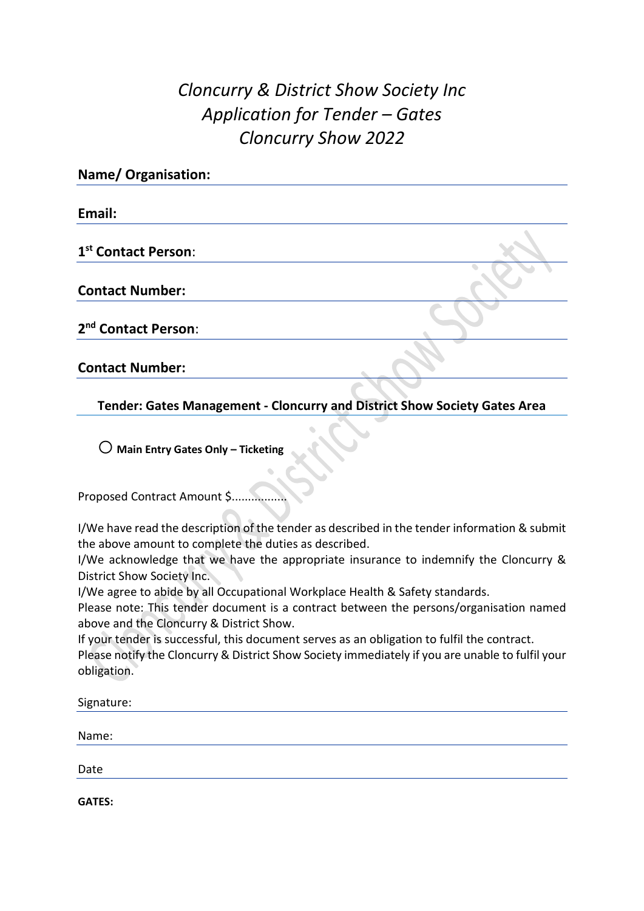## *Cloncurry & District Show Society Inc Application for Tender – Gates Cloncurry Show 2022*

| <b>Name/ Organisation:</b>      |  |
|---------------------------------|--|
| Email:                          |  |
| 1 <sup>st</sup> Contact Person: |  |
| <b>Contact Number:</b>          |  |
| 2 <sup>nd</sup> Contact Person: |  |
| <b>Contact Number:</b>          |  |

**Tender: Gates Management - Cloncurry and District Show Society Gates Area**

o **Main Entry Gates Only – Ticketing**

Proposed Contract Amount \$..............

I/We have read the description of the tender as described in the tender information & submit the above amount to complete the duties as described.

I/We acknowledge that we have the appropriate insurance to indemnify the Cloncurry & District Show Society Inc.

I/We agree to abide by all Occupational Workplace Health & Safety standards.

Please note: This tender document is a contract between the persons/organisation named above and the Cloncurry & District Show.

If your tender is successful, this document serves as an obligation to fulfil the contract.

Please notify the Cloncurry & District Show Society immediately if you are unable to fulfil your obligation.

| Signature: |  |
|------------|--|
|            |  |
| Name:      |  |
|            |  |
| Date       |  |

**GATES:**